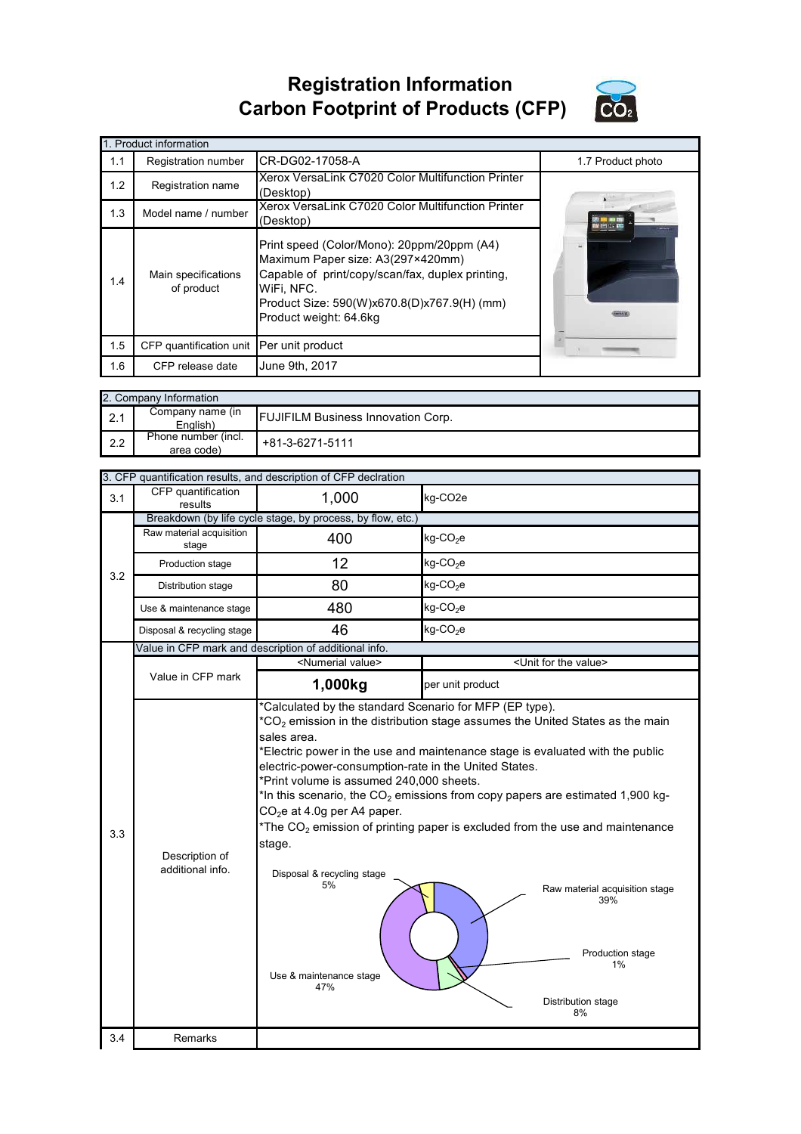## **Registration Information Carbon Footprint of Products (CFP)**



|     | 1. Product information                   |                                                                                                                                                                                                                            |                   |  |  |  |
|-----|------------------------------------------|----------------------------------------------------------------------------------------------------------------------------------------------------------------------------------------------------------------------------|-------------------|--|--|--|
| 1.1 | Registration number                      | CR-DG02-17058-A                                                                                                                                                                                                            | 1.7 Product photo |  |  |  |
| 1.2 | Registration name                        | Xerox VersaLink C7020 Color Multifunction Printer<br>(Desktop)                                                                                                                                                             |                   |  |  |  |
| 1.3 | Model name / number                      | Xerox VersaLink C7020 Color Multifunction Printer<br>(Desktop)                                                                                                                                                             |                   |  |  |  |
| 1.4 | Main specifications<br>of product        | Print speed (Color/Mono): 20ppm/20ppm (A4)<br>Maximum Paper size: A3(297×420mm)<br>Capable of print/copy/scan/fax, duplex printing,<br>WiFi. NFC.<br>Product Size: 590(W)x670.8(D)x767.9(H) (mm)<br>Product weight: 64.6kg |                   |  |  |  |
| 1.5 | CFP quantification unit Per unit product |                                                                                                                                                                                                                            |                   |  |  |  |
| 1.6 | CFP release date                         | June 9th, 2017                                                                                                                                                                                                             |                   |  |  |  |

|     | 2. Company Information            |                                           |  |  |  |
|-----|-----------------------------------|-------------------------------------------|--|--|--|
| 2.1 | Company name (in<br>English)      | <b>FUJIFILM Business Innovation Corp.</b> |  |  |  |
| 2.2 | Phone number (incl.<br>area code) | +81-3-6271-5111                           |  |  |  |

|     |                                    | 3. CFP quantification results, and description of CFP declration                                                                                                                                                                                                                                                                                                                                                                                                                                                                                                                                                                                                                                                                           |                                      |  |
|-----|------------------------------------|--------------------------------------------------------------------------------------------------------------------------------------------------------------------------------------------------------------------------------------------------------------------------------------------------------------------------------------------------------------------------------------------------------------------------------------------------------------------------------------------------------------------------------------------------------------------------------------------------------------------------------------------------------------------------------------------------------------------------------------------|--------------------------------------|--|
| 3.1 | CFP quantification<br>results      | 1,000                                                                                                                                                                                                                                                                                                                                                                                                                                                                                                                                                                                                                                                                                                                                      | kg-CO <sub>2e</sub>                  |  |
|     |                                    | Breakdown (by life cycle stage, by process, by flow, etc.)                                                                                                                                                                                                                                                                                                                                                                                                                                                                                                                                                                                                                                                                                 |                                      |  |
|     | Raw material acquisition<br>stage  | 400                                                                                                                                                                                                                                                                                                                                                                                                                                                                                                                                                                                                                                                                                                                                        | kg-CO <sub>2</sub> e                 |  |
| 3.2 | Production stage                   | 12                                                                                                                                                                                                                                                                                                                                                                                                                                                                                                                                                                                                                                                                                                                                         | $kg$ -CO <sub>2</sub> e              |  |
|     | Distribution stage                 | 80                                                                                                                                                                                                                                                                                                                                                                                                                                                                                                                                                                                                                                                                                                                                         | $kg$ -CO <sub>2</sub> e              |  |
|     | Use & maintenance stage            | 480                                                                                                                                                                                                                                                                                                                                                                                                                                                                                                                                                                                                                                                                                                                                        | $kg$ -CO <sub>2</sub> e              |  |
|     | Disposal & recycling stage         | 46                                                                                                                                                                                                                                                                                                                                                                                                                                                                                                                                                                                                                                                                                                                                         | $kg$ -CO <sub>2</sub> e              |  |
|     |                                    | Value in CFP mark and description of additional info.                                                                                                                                                                                                                                                                                                                                                                                                                                                                                                                                                                                                                                                                                      |                                      |  |
|     |                                    | <numerial value=""></numerial>                                                                                                                                                                                                                                                                                                                                                                                                                                                                                                                                                                                                                                                                                                             | <unit for="" the="" value=""></unit> |  |
|     | Value in CFP mark                  | 1,000kg                                                                                                                                                                                                                                                                                                                                                                                                                                                                                                                                                                                                                                                                                                                                    | per unit product                     |  |
| 3.3 | Description of<br>additional info. | *Calculated by the standard Scenario for MFP (EP type).<br>$*$ CO <sub>2</sub> emission in the distribution stage assumes the United States as the main<br>sales area.<br>*Electric power in the use and maintenance stage is evaluated with the public<br>electric-power-consumption-rate in the United States.<br>*Print volume is assumed 240,000 sheets.<br>*In this scenario, the $CO2$ emissions from copy papers are estimated 1,900 kg-<br>$CO2e$ at 4.0g per A4 paper.<br>*The $CO2$ emission of printing paper is excluded from the use and maintenance<br>stage.<br>Disposal & recycling stage<br>5%<br>Raw material acquisition stage<br>39%<br>Production stage<br>1%<br>Use & maintenance stage<br>47%<br>Distribution stage |                                      |  |
| 3.4 | <b>Remarks</b>                     |                                                                                                                                                                                                                                                                                                                                                                                                                                                                                                                                                                                                                                                                                                                                            |                                      |  |
|     |                                    |                                                                                                                                                                                                                                                                                                                                                                                                                                                                                                                                                                                                                                                                                                                                            |                                      |  |